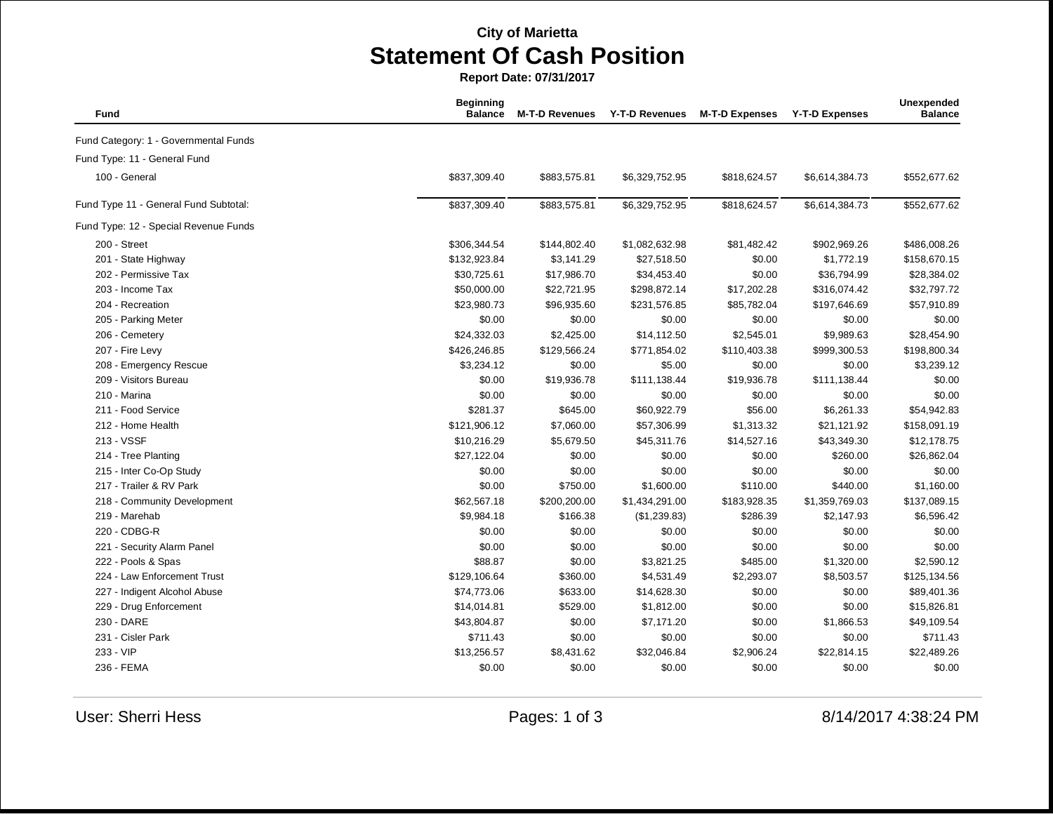## **City of Marietta Statement Of Cash Position**

**Report Date: 07/31/2017**

| Fund                                  | <b>Beginning</b><br><b>Balance</b> | <b>M-T-D Revenues</b> | <b>Y-T-D Revenues</b> | <b>M-T-D Expenses</b> | <b>Y-T-D Expenses</b> | Unexpended<br><b>Balance</b> |
|---------------------------------------|------------------------------------|-----------------------|-----------------------|-----------------------|-----------------------|------------------------------|
| Fund Category: 1 - Governmental Funds |                                    |                       |                       |                       |                       |                              |
| Fund Type: 11 - General Fund          |                                    |                       |                       |                       |                       |                              |
| 100 - General                         | \$837,309.40                       | \$883,575.81          | \$6,329,752.95        | \$818,624.57          | \$6,614,384.73        | \$552,677.62                 |
| Fund Type 11 - General Fund Subtotal: | \$837,309.40                       | \$883,575.81          | \$6,329,752.95        | \$818,624.57          | \$6,614,384.73        | \$552,677.62                 |
| Fund Type: 12 - Special Revenue Funds |                                    |                       |                       |                       |                       |                              |
| 200 - Street                          | \$306,344.54                       | \$144,802.40          | \$1,082,632.98        | \$81,482.42           | \$902,969.26          | \$486,008.26                 |
| 201 - State Highway                   | \$132,923.84                       | \$3,141.29            | \$27,518.50           | \$0.00                | \$1,772.19            | \$158,670.15                 |
| 202 - Permissive Tax                  | \$30,725.61                        | \$17,986.70           | \$34,453.40           | \$0.00                | \$36,794.99           | \$28,384.02                  |
| 203 - Income Tax                      | \$50,000.00                        | \$22,721.95           | \$298,872.14          | \$17,202.28           | \$316,074.42          | \$32,797.72                  |
| 204 - Recreation                      | \$23,980.73                        | \$96,935.60           | \$231,576.85          | \$85,782.04           | \$197,646.69          | \$57,910.89                  |
| 205 - Parking Meter                   | \$0.00                             | \$0.00                | \$0.00                | \$0.00                | \$0.00                | \$0.00                       |
| 206 - Cemetery                        | \$24,332.03                        | \$2,425.00            | \$14,112.50           | \$2,545.01            | \$9,989.63            | \$28,454.90                  |
| 207 - Fire Levy                       | \$426,246.85                       | \$129,566.24          | \$771,854.02          | \$110,403.38          | \$999,300.53          | \$198,800.34                 |
| 208 - Emergency Rescue                | \$3,234.12                         | \$0.00                | \$5.00                | \$0.00                | \$0.00                | \$3,239.12                   |
| 209 - Visitors Bureau                 | \$0.00                             | \$19,936.78           | \$111,138.44          | \$19,936.78           | \$111,138.44          | \$0.00                       |
| 210 - Marina                          | \$0.00                             | \$0.00                | \$0.00                | \$0.00                | \$0.00                | \$0.00                       |
| 211 - Food Service                    | \$281.37                           | \$645.00              | \$60,922.79           | \$56.00               | \$6,261.33            | \$54,942.83                  |
| 212 - Home Health                     | \$121,906.12                       | \$7,060.00            | \$57,306.99           | \$1,313.32            | \$21,121.92           | \$158,091.19                 |
| 213 - VSSF                            | \$10,216.29                        | \$5,679.50            | \$45,311.76           | \$14,527.16           | \$43,349.30           | \$12,178.75                  |
| 214 - Tree Planting                   | \$27,122.04                        | \$0.00                | \$0.00                | \$0.00                | \$260.00              | \$26,862.04                  |
| 215 - Inter Co-Op Study               | \$0.00                             | \$0.00                | \$0.00                | \$0.00                | \$0.00                | \$0.00                       |
| 217 - Trailer & RV Park               | \$0.00                             | \$750.00              | \$1,600.00            | \$110.00              | \$440.00              | \$1,160.00                   |
| 218 - Community Development           | \$62,567.18                        | \$200,200.00          | \$1,434,291.00        | \$183,928.35          | \$1,359,769.03        | \$137,089.15                 |
| 219 - Marehab                         | \$9,984.18                         | \$166.38              | (\$1,239.83)          | \$286.39              | \$2,147.93            | \$6,596.42                   |
| 220 - CDBG-R                          | \$0.00                             | \$0.00                | \$0.00                | \$0.00                | \$0.00                | \$0.00                       |
| 221 - Security Alarm Panel            | \$0.00                             | \$0.00                | \$0.00                | \$0.00                | \$0.00                | \$0.00                       |
| 222 - Pools & Spas                    | \$88.87                            | \$0.00                | \$3,821.25            | \$485.00              | \$1,320.00            | \$2,590.12                   |
| 224 - Law Enforcement Trust           | \$129,106.64                       | \$360.00              | \$4,531.49            | \$2,293.07            | \$8,503.57            | \$125,134.56                 |
| 227 - Indigent Alcohol Abuse          | \$74,773.06                        | \$633.00              | \$14,628.30           | \$0.00                | \$0.00                | \$89,401.36                  |
| 229 - Drug Enforcement                | \$14,014.81                        | \$529.00              | \$1,812.00            | \$0.00                | \$0.00                | \$15,826.81                  |
| 230 - DARE                            | \$43,804.87                        | \$0.00                | \$7,171.20            | \$0.00                | \$1,866.53            | \$49,109.54                  |
| 231 - Cisler Park                     | \$711.43                           | \$0.00                | \$0.00                | \$0.00                | \$0.00                | \$711.43                     |
| 233 - VIP                             | \$13,256.57                        | \$8,431.62            | \$32,046.84           | \$2,906.24            | \$22,814.15           | \$22,489.26                  |
| 236 - FEMA                            | \$0.00                             | \$0.00                | \$0.00                | \$0.00                | \$0.00                | \$0.00                       |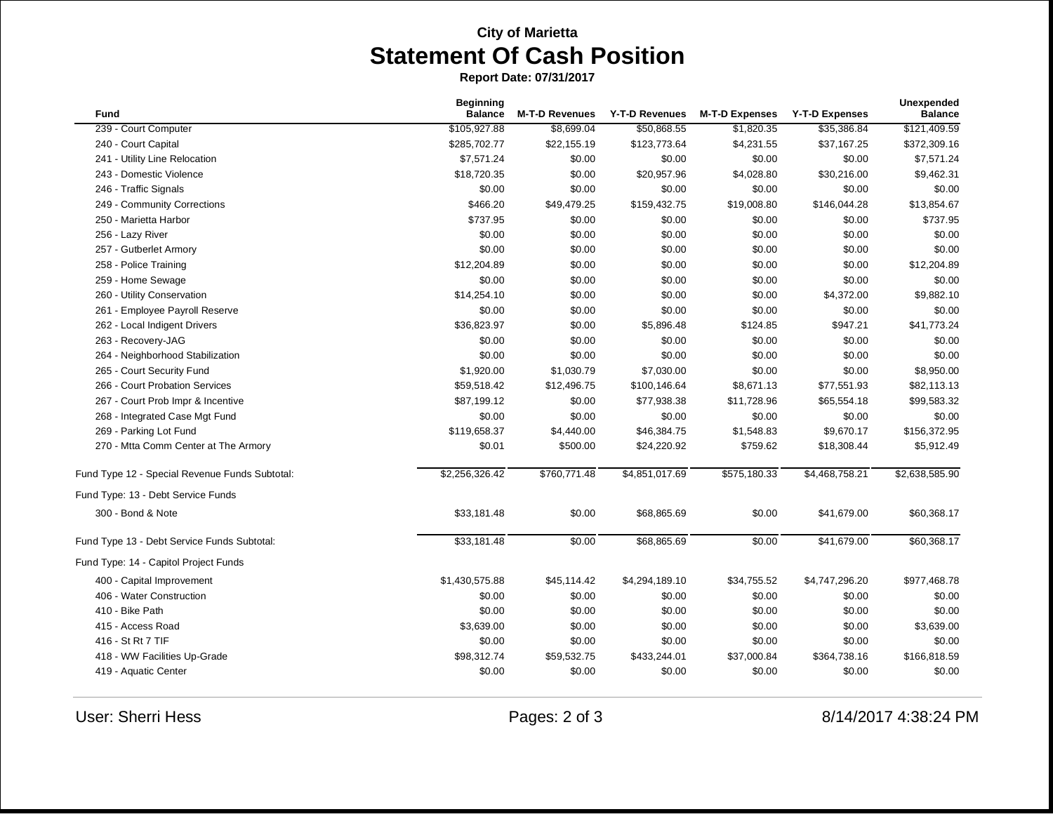## **City of Marietta Statement Of Cash Position**

**Report Date: 07/31/2017**

| Fund                                           | <b>Beginning</b><br><b>Balance</b> | <b>M-T-D Revenues</b> | <b>Y-T-D Revenues</b> | <b>M-T-D Expenses</b> | <b>Y-T-D Expenses</b> | Unexpended<br><b>Balance</b> |
|------------------------------------------------|------------------------------------|-----------------------|-----------------------|-----------------------|-----------------------|------------------------------|
| 239 - Court Computer                           | \$105,927.88                       | \$8,699.04            | \$50,868.55           | \$1,820.35            | \$35,386.84           | \$121,409.59                 |
| 240 - Court Capital                            | \$285,702.77                       | \$22,155.19           | \$123,773.64          | \$4,231.55            | \$37,167.25           | \$372,309.16                 |
| 241 - Utility Line Relocation                  | \$7,571.24                         | \$0.00                | \$0.00                | \$0.00                | \$0.00                | \$7,571.24                   |
| 243 - Domestic Violence                        | \$18,720.35                        | \$0.00                | \$20,957.96           | \$4,028.80            | \$30,216.00           | \$9,462.31                   |
| 246 - Traffic Signals                          | \$0.00                             | \$0.00                | \$0.00                | \$0.00                | \$0.00                | \$0.00                       |
| 249 - Community Corrections                    | \$466.20                           | \$49,479.25           | \$159,432.75          | \$19,008.80           | \$146,044.28          | \$13,854.67                  |
| 250 - Marietta Harbor                          | \$737.95                           | \$0.00                | \$0.00                | \$0.00                | \$0.00                | \$737.95                     |
| 256 - Lazy River                               | \$0.00                             | \$0.00                | \$0.00                | \$0.00                | \$0.00                | \$0.00                       |
| 257 - Gutberlet Armory                         | \$0.00                             | \$0.00                | \$0.00                | \$0.00                | \$0.00                | \$0.00                       |
| 258 - Police Training                          | \$12,204.89                        | \$0.00                | \$0.00                | \$0.00                | \$0.00                | \$12,204.89                  |
| 259 - Home Sewage                              | \$0.00                             | \$0.00                | \$0.00                | \$0.00                | \$0.00                | \$0.00                       |
| 260 - Utility Conservation                     | \$14,254.10                        | \$0.00                | \$0.00                | \$0.00                | \$4,372.00            | \$9,882.10                   |
| 261 - Employee Payroll Reserve                 | \$0.00                             | \$0.00                | \$0.00                | \$0.00                | \$0.00                | \$0.00                       |
| 262 - Local Indigent Drivers                   | \$36,823.97                        | \$0.00                | \$5,896.48            | \$124.85              | \$947.21              | \$41,773.24                  |
| 263 - Recovery-JAG                             | \$0.00                             | \$0.00                | \$0.00                | \$0.00                | \$0.00                | \$0.00                       |
| 264 - Neighborhood Stabilization               | \$0.00                             | \$0.00                | \$0.00                | \$0.00                | \$0.00                | \$0.00                       |
| 265 - Court Security Fund                      | \$1,920.00                         | \$1,030.79            | \$7,030.00            | \$0.00                | \$0.00                | \$8,950.00                   |
| 266 - Court Probation Services                 | \$59,518.42                        | \$12,496.75           | \$100,146.64          | \$8,671.13            | \$77,551.93           | \$82,113.13                  |
| 267 - Court Prob Impr & Incentive              | \$87,199.12                        | \$0.00                | \$77,938.38           | \$11,728.96           | \$65,554.18           | \$99,583.32                  |
| 268 - Integrated Case Mgt Fund                 | \$0.00                             | \$0.00                | \$0.00                | \$0.00                | \$0.00                | \$0.00                       |
| 269 - Parking Lot Fund                         | \$119,658.37                       | \$4,440.00            | \$46,384.75           | \$1,548.83            | \$9,670.17            | \$156,372.95                 |
| 270 - Mtta Comm Center at The Armory           | \$0.01                             | \$500.00              | \$24,220.92           | \$759.62              | \$18,308.44           | \$5,912.49                   |
| Fund Type 12 - Special Revenue Funds Subtotal: | \$2,256,326.42                     | \$760,771.48          | \$4,851,017.69        | \$575,180.33          | \$4,468,758.21        | \$2,638,585.90               |
| Fund Type: 13 - Debt Service Funds             |                                    |                       |                       |                       |                       |                              |
| 300 - Bond & Note                              | \$33,181.48                        | \$0.00                | \$68,865.69           | \$0.00                | \$41,679.00           | \$60,368.17                  |
| Fund Type 13 - Debt Service Funds Subtotal:    | \$33,181.48                        | \$0.00                | \$68,865.69           | \$0.00                | \$41,679.00           | \$60,368.17                  |
| Fund Type: 14 - Capitol Project Funds          |                                    |                       |                       |                       |                       |                              |
| 400 - Capital Improvement                      | \$1,430,575.88                     | \$45,114.42           | \$4,294,189.10        | \$34,755.52           | \$4,747,296.20        | \$977,468.78                 |
| 406 - Water Construction                       | \$0.00                             | \$0.00                | \$0.00                | \$0.00                | \$0.00                | \$0.00                       |
| 410 - Bike Path                                | \$0.00                             | \$0.00                | \$0.00                | \$0.00                | \$0.00                | \$0.00                       |
| 415 - Access Road                              | \$3,639.00                         | \$0.00                | \$0.00                | \$0.00                | \$0.00                | \$3,639.00                   |
| 416 - St Rt 7 TIF                              | \$0.00                             | \$0.00                | \$0.00                | \$0.00                | \$0.00                | \$0.00                       |
| 418 - WW Facilities Up-Grade                   | \$98.312.74                        | \$59,532.75           | \$433,244.01          | \$37,000.84           | \$364,738.16          | \$166,818.59                 |
| 419 - Aquatic Center                           | \$0.00                             | \$0.00                | \$0.00                | \$0.00                | \$0.00                | \$0.00                       |